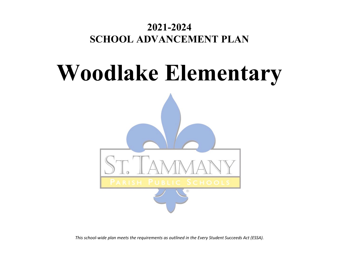## **2021-2024 SCHOOL ADVANCEMENT PLAN**

# **Woodlake Elementary**



*This school-wide plan meets the requirements as outlined in the Every Student Succeeds Act (ESSA).*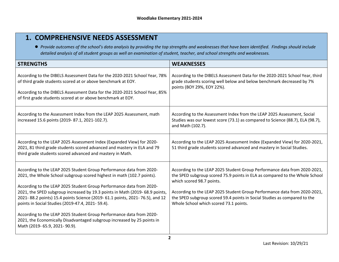## **1. COMPREHENSIVE NEEDS ASSESSMENT**

● *Provide outcomes of the school's data analysis by providing the top strengths and weaknesses that have been identified. Findings should include detailed analysis of all student groups as well an examination of student, teacher, and school strengths and weaknesses.* 

| <b>STRENGTHS</b>                                                                                                                                                                                                                                                                                                                                                                                                                                                                                                                                                                                                              | <b>WEAKNESSES</b>                                                                                                                                                                                                                                                                                                                                                                         |
|-------------------------------------------------------------------------------------------------------------------------------------------------------------------------------------------------------------------------------------------------------------------------------------------------------------------------------------------------------------------------------------------------------------------------------------------------------------------------------------------------------------------------------------------------------------------------------------------------------------------------------|-------------------------------------------------------------------------------------------------------------------------------------------------------------------------------------------------------------------------------------------------------------------------------------------------------------------------------------------------------------------------------------------|
| According to the DIBELS Assessment Data for the 2020-2021 School Year, 78%<br>of third grade students scored at or above benchmark at EOY.<br>According to the DIBELS Assessment Data for the 2020-2021 School Year, 85%<br>of first grade students scored at or above benchmark at EOY.                                                                                                                                                                                                                                                                                                                                      | According to the DIBELS Assessment Data for the 2020-2021 School Year, third<br>grade students scoring well below and below benchmark decreased by 7%<br>points (BOY 29%, EOY 22%).                                                                                                                                                                                                       |
| According to the Assessment Index from the LEAP 2025 Assessment, math<br>increased 15.6 points (2019-87.1, 2021-102.7).                                                                                                                                                                                                                                                                                                                                                                                                                                                                                                       | According to the Assessment Index from the LEAP 2025 Assessment, Social<br>Studies was our lowest score (73.1) as compared to Science (88.7), ELA (98.7),<br>and Math (102.7).                                                                                                                                                                                                            |
| According to the LEAP 2025 Assessment Index (Expanded View) for 2020-<br>2021, 81 third grade students scored advanced and mastery in ELA and 79<br>third grade students scored advanced and mastery in Math.                                                                                                                                                                                                                                                                                                                                                                                                                 | According to the LEAP 2025 Assessment Index (Expanded View) for 2020-2021,<br>51 third grade students scored advanced and mastery in Social Studies.                                                                                                                                                                                                                                      |
| According to the LEAP 2025 Student Group Performance data from 2020-<br>2021, the Whole School subgroup scored highest in math (102.7 points).<br>According to the LEAP 2025 Student Group Performance data from 2020-<br>2021, the SPED subgroup increased by 19.3 points in Math (2019-68.9 points,<br>2021-88.2 points) 15.4 points Science (2019-61.1 points, 2021-76.5), and 12<br>points in Social Studies (2019-47.4, 2021-59.4).<br>According to the LEAP 2025 Student Group Performance data from 2020-<br>2021, the Economically Disadvantaged subgroup increased by 25 points in<br>Math (2019- 65.9, 2021- 90.9). | According to the LEAP 2025 Student Group Performance data from 2020-2021,<br>the SPED subgroup scored 75.9 points in ELA as compared to the Whole School<br>which scored 98.7 points.<br>According to the LEAP 2025 Student Group Performance data from 2020-2021,<br>the SPED subgroup scored 59.4 points in Social Studies as compared to the<br>Whole School which scored 73.1 points. |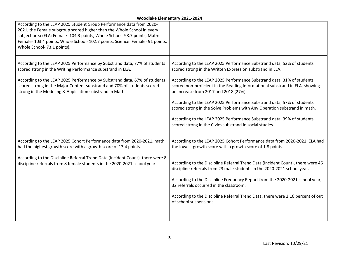| According to the LEAP 2025 Student Group Performance data from 2020-<br>2021, the Female subgroup scored higher than the Whole School in every<br>subject area (ELA: Female- 104.3 points, Whole School- 98.7 points, Math:<br>Female- 103.4 points, Whole School- 102.7 points, Science: Female- 91 points,<br>Whole School- 73.1 points).                |                                                                                                                                                                                                                                                                                                                                        |
|------------------------------------------------------------------------------------------------------------------------------------------------------------------------------------------------------------------------------------------------------------------------------------------------------------------------------------------------------------|----------------------------------------------------------------------------------------------------------------------------------------------------------------------------------------------------------------------------------------------------------------------------------------------------------------------------------------|
| According to the LEAP 2025 Performance by Substrand data, 77% of students<br>scored strong in the Writing Performance substrand in ELA.<br>According to the LEAP 2025 Performance by Substrand data, 67% of students<br>scored strong in the Major Content substrand and 70% of students scored<br>strong in the Modeling & Application substrand in Math. | According to the LEAP 2025 Performance Substrand data, 52% of students<br>scored strong in the Written Expression substrand in ELA.<br>According to the LEAP 2025 Performance Substrand data, 31% of students<br>scored non-proficient in the Reading Informational substrand in ELA, showing<br>an increase from 2017 and 2018 (27%). |
|                                                                                                                                                                                                                                                                                                                                                            | According to the LEAP 2025 Performance Substrand data, 57% of students<br>scored strong in the Solve Problems with Any Operation substrand in math.<br>According to the LEAP 2025 Performance Substrand data, 39% of students<br>scored strong in the Civics substrand in social studies.                                              |
| According to the LEAP 2025 Cohort Performance data from 2020-2021, math<br>had the highest growth score with a growth score of 13.4 points.                                                                                                                                                                                                                | According to the LEAP 2025 Cohort Performance data from 2020-2021, ELA had<br>the lowest growth score with a growth score of 1.8 points.                                                                                                                                                                                               |
| According to the Discipline Referral Trend Data (Incident Count), there were 8<br>discipline referrals from 8 female students in the 2020-2021 school year.                                                                                                                                                                                                | According to the Discipline Referral Trend Data (Incident Count), there were 46<br>discipline referrals from 23 male students in the 2020-2021 school year.<br>According to the Discipline Frequency Report from the 2020-2021 school year,<br>32 referrals occurred in the classroom.                                                 |
|                                                                                                                                                                                                                                                                                                                                                            | According to the Discipline Referral Trend Data, there were 2.16 percent of out<br>of school suspensions.                                                                                                                                                                                                                              |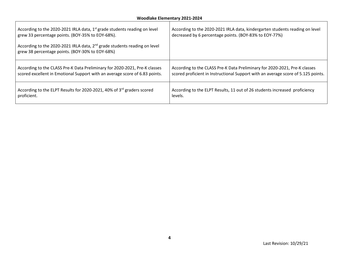| According to the 2020-2021 IRLA data, $1st$ grade students reading on level<br>grew 33 percentage points. (BOY-35% to EOY-68%).<br>According to the 2020-2021 IRLA data, 2 <sup>nd</sup> grade students reading on level<br>grew 38 percentage points. (BOY-30% to EOY-68%) | According to the 2020-2021 IRLA data, kindergarten students reading on level<br>decreased by 6 percentage points. (BOY-83% to EOY-77%) |
|-----------------------------------------------------------------------------------------------------------------------------------------------------------------------------------------------------------------------------------------------------------------------------|----------------------------------------------------------------------------------------------------------------------------------------|
| According to the CLASS Pre-K Data Preliminary for 2020-2021, Pre-K classes                                                                                                                                                                                                  | According to the CLASS Pre-K Data Preliminary for 2020-2021, Pre-K classes                                                             |
| scored excellent in Emotional Support with an average score of 6.83 points.                                                                                                                                                                                                 | scored proficient in Instructional Support with an average score of 5.125 points.                                                      |
| According to the ELPT Results for 2020-2021, 40% of 3rd graders scored                                                                                                                                                                                                      | According to the ELPT Results, 11 out of 26 students increased proficiency                                                             |
| proficient.                                                                                                                                                                                                                                                                 | levels.                                                                                                                                |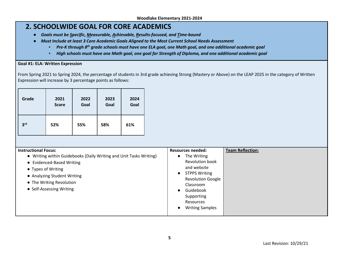## **2. SCHOOLWIDE GOAL FOR CORE ACADEMICS**

- *Goals must be Specific, Measurable, Achievable, Results-focused, and Time-bound*
- *Must Include at least 3 Core Academic Goals Aligned to the Most Current School Needs Assessment* 
	- **Pre-K through 8<sup>th</sup> grade schools must have one ELA goal, one Math goal, and one additional academic goal**
	- *High schools must have one Math goal, one goal for Strength of Diploma, and one additional academic goal*

#### **Goal #1: ELA: Written Expression**

From Spring 2021 to Spring 2024, the percentage of students in 3rd grade achieving Strong (Mastery or Above) on the LEAP 2025 in the category of Written Expression will increase by 3 percentage points as follows:

| Grade           | 2021         | 2022 | 2023 | 2024 |
|-----------------|--------------|------|------|------|
|                 | <b>Score</b> | Goal | Goal | Goal |
| 3 <sup>rd</sup> | 52%          | 55%  | 58%  | 61%  |

| <b>Instructional Focus:</b><br>• Writing within Guidebooks (Daily Writing and Unit Tasks Writing)<br>• Evidenced-Based Writing<br>• Types of Writing<br>• Analyzing Student Writing<br>• The Writing Revolution<br>• Self-Assessing Writing | <b>Resources needed:</b><br>The Writing<br>Revolution book<br>and website<br><b>STPPS Writing</b><br><b>Revolution Google</b><br>Classroom<br>Guidebook<br>Supporting<br>Resources | <b>Team Reflection:</b> |
|---------------------------------------------------------------------------------------------------------------------------------------------------------------------------------------------------------------------------------------------|------------------------------------------------------------------------------------------------------------------------------------------------------------------------------------|-------------------------|
|                                                                                                                                                                                                                                             | <b>Writing Samples</b>                                                                                                                                                             |                         |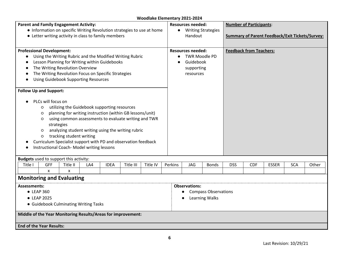| *****************************<br><b>Parent and Family Engagement Activity:</b> |                    |                                                                |     |             |           |          |         |                                                                   |              |            |                                |              |            |       |
|--------------------------------------------------------------------------------|--------------------|----------------------------------------------------------------|-----|-------------|-----------|----------|---------|-------------------------------------------------------------------|--------------|------------|--------------------------------|--------------|------------|-------|
|                                                                                |                    |                                                                |     |             |           |          |         | <b>Number of Participants:</b><br>Resources needed:               |              |            |                                |              |            |       |
| • Information on specific Writing Revolution strategies to use at home         |                    |                                                                |     |             |           |          |         | • Writing Strategies                                              |              |            |                                |              |            |       |
|                                                                                |                    | • Letter writing activity in class to family members           |     |             |           |          |         | <b>Summary of Parent Feedback/Exit Tickets/Survey:</b><br>Handout |              |            |                                |              |            |       |
|                                                                                |                    |                                                                |     |             |           |          |         |                                                                   |              |            |                                |              |            |       |
| <b>Professional Development:</b>                                               |                    |                                                                |     |             |           |          |         | <b>Resources needed:</b>                                          |              |            | <b>Feedback from Teachers:</b> |              |            |       |
|                                                                                |                    | Using the Writing Rubric and the Modified Writing Rubric       |     |             |           |          |         | <b>TWR Moodle PD</b>                                              |              |            |                                |              |            |       |
|                                                                                |                    | Lesson Planning for Writing within Guidebooks                  |     |             |           |          |         | Guidebook                                                         |              |            |                                |              |            |       |
|                                                                                |                    | The Writing Revolution Overview                                |     |             |           |          |         | supporting                                                        |              |            |                                |              |            |       |
|                                                                                |                    | The Writing Revolution Focus on Specific Strategies            |     |             |           |          |         | resources                                                         |              |            |                                |              |            |       |
|                                                                                |                    | <b>Using Guidebook Supporting Resources</b>                    |     |             |           |          |         |                                                                   |              |            |                                |              |            |       |
|                                                                                |                    |                                                                |     |             |           |          |         |                                                                   |              |            |                                |              |            |       |
| <b>Follow Up and Support:</b>                                                  |                    |                                                                |     |             |           |          |         |                                                                   |              |            |                                |              |            |       |
|                                                                                | PLCs will focus on |                                                                |     |             |           |          |         |                                                                   |              |            |                                |              |            |       |
|                                                                                | $\circ$            | utilizing the Guidebook supporting resources                   |     |             |           |          |         |                                                                   |              |            |                                |              |            |       |
|                                                                                | $\circ$            | planning for writing instruction (within GB lessons/unit)      |     |             |           |          |         |                                                                   |              |            |                                |              |            |       |
|                                                                                | $\circ$            | using common assessments to evaluate writing and TWR           |     |             |           |          |         |                                                                   |              |            |                                |              |            |       |
|                                                                                |                    | strategies                                                     |     |             |           |          |         |                                                                   |              |            |                                |              |            |       |
|                                                                                |                    |                                                                |     |             |           |          |         |                                                                   |              |            |                                |              |            |       |
|                                                                                | $\circ$            | analyzing student writing using the writing rubric             |     |             |           |          |         |                                                                   |              |            |                                |              |            |       |
|                                                                                | $\circ$            | tracking student writing                                       |     |             |           |          |         |                                                                   |              |            |                                |              |            |       |
|                                                                                |                    | Curriculum Specialist support with PD and observation feedback |     |             |           |          |         |                                                                   |              |            |                                |              |            |       |
|                                                                                |                    | Instructional Coach-Model writing lessons                      |     |             |           |          |         |                                                                   |              |            |                                |              |            |       |
| <b>Budgets</b> used to support this activity:                                  |                    |                                                                |     |             |           |          |         |                                                                   |              |            |                                |              |            |       |
| Title I                                                                        | <b>GFF</b>         | Title II                                                       | LA4 | <b>IDEA</b> | Title III | Title IV | Perkins | JAG                                                               | <b>Bonds</b> | <b>DSS</b> | <b>CDF</b>                     | <b>ESSER</b> | <b>SCA</b> | Other |
|                                                                                | X                  | X                                                              |     |             |           |          |         |                                                                   |              |            |                                |              |            |       |
| <b>Monitoring and Evaluating</b>                                               |                    |                                                                |     |             |           |          |         |                                                                   |              |            |                                |              |            |       |
| <b>Assessments:</b>                                                            |                    |                                                                |     |             |           |          |         | <b>Observations:</b>                                              |              |            |                                |              |            |       |
| • LEAP 360                                                                     |                    |                                                                |     |             |           |          |         | <b>Compass Observations</b>                                       |              |            |                                |              |            |       |
| • LEAP 2025                                                                    |                    |                                                                |     |             |           |          |         | <b>Learning Walks</b>                                             |              |            |                                |              |            |       |
|                                                                                |                    |                                                                |     |             |           |          |         |                                                                   |              |            |                                |              |            |       |
| • Guidebook Culminating Writing Tasks                                          |                    |                                                                |     |             |           |          |         |                                                                   |              |            |                                |              |            |       |
| Middle of the Year Monitoring Results/Areas for improvement:                   |                    |                                                                |     |             |           |          |         |                                                                   |              |            |                                |              |            |       |
|                                                                                |                    |                                                                |     |             |           |          |         |                                                                   |              |            |                                |              |            |       |
|                                                                                |                    |                                                                |     |             |           |          |         |                                                                   |              |            |                                |              |            |       |
| <b>End of the Year Results:</b>                                                |                    |                                                                |     |             |           |          |         |                                                                   |              |            |                                |              |            |       |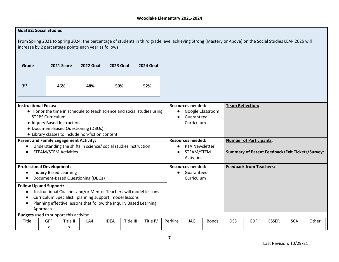## **Goal #2: Social Studies**

From Spring 2021 to Spring 2024, the percentage of students in third grade level achieving Strong (Mastery or Above) on the Social Studies LEAP 2025 will increase by 2 percentage points each year as follows:

| Grade           | 2021 Score | <b>2022 Goal</b> | <b>2023 Goal</b> | <b>2024 Goal</b> |
|-----------------|------------|------------------|------------------|------------------|
| 3 <sup>rd</sup> | 46%        | 48%              | 50%              | 52%              |

| <b>Instructional Focus:</b>                                            |                    | <b>Resources needed:</b><br><b>Team Reflection:</b> |          |           |                          |              |                                |                                |                                                        |            |       |
|------------------------------------------------------------------------|--------------------|-----------------------------------------------------|----------|-----------|--------------------------|--------------|--------------------------------|--------------------------------|--------------------------------------------------------|------------|-------|
| • Honor the time in schedule to teach science and social studies using |                    | Google Classroom                                    |          |           |                          |              |                                |                                |                                                        |            |       |
| <b>STPPS Curriculum</b>                                                |                    |                                                     |          | $\bullet$ | Guaranteed               |              |                                |                                |                                                        |            |       |
| • Inquiry Based Instruction                                            |                    |                                                     |          |           | Curriculum               |              |                                |                                |                                                        |            |       |
| • Document-Based Questioning (DBQs)                                    |                    |                                                     |          |           |                          |              |                                |                                |                                                        |            |       |
| • Library classes to include non-fiction content                       |                    |                                                     |          |           |                          |              |                                |                                |                                                        |            |       |
| <b>Parent and Family Engagement Activity:</b>                          |                    |                                                     |          |           | <b>Resources needed:</b> |              |                                | <b>Number of Participants:</b> |                                                        |            |       |
| Understanding the shifts in science/ social studies instruction        |                    |                                                     |          |           | <b>PTA Newsletter</b>    |              |                                |                                |                                                        |            |       |
| <b>STEAM/STEM Activities</b>                                           |                    |                                                     |          |           | STEAM/STEM               |              |                                |                                | <b>Summary of Parent Feedback/Exit Tickets/Survey:</b> |            |       |
|                                                                        |                    |                                                     |          |           | <b>Activities</b>        |              |                                |                                |                                                        |            |       |
| <b>Professional Development:</b>                                       |                    |                                                     |          |           | <b>Resources needed:</b> |              | <b>Feedback from Teachers:</b> |                                |                                                        |            |       |
| <b>Inquiry Based Learning</b>                                          |                    |                                                     |          |           | Guaranteed               |              |                                |                                |                                                        |            |       |
| Document-Based Questioning (DBQs)                                      |                    |                                                     |          |           | Curriculum               |              |                                |                                |                                                        |            |       |
| <b>Follow Up and Support:</b>                                          |                    |                                                     |          |           |                          |              |                                |                                |                                                        |            |       |
| Instructional Coaches and/or Mentor Teachers will model lessons        |                    |                                                     |          |           |                          |              |                                |                                |                                                        |            |       |
| Curriculum Specialist: planning support, model lessons                 |                    |                                                     |          |           |                          |              |                                |                                |                                                        |            |       |
| Planning effective lessons that follow the Inquiry Based Learning<br>€ |                    |                                                     |          |           |                          |              |                                |                                |                                                        |            |       |
| Approach                                                               |                    |                                                     |          |           |                          |              |                                |                                |                                                        |            |       |
| <b>Budgets</b> used to support this activity:                          |                    |                                                     |          |           |                          |              |                                |                                |                                                        |            |       |
| Title I<br><b>GFF</b><br>Title II                                      | <b>IDEA</b><br>LA4 | Title III                                           | Title IV | Perkins   | <b>JAG</b>               | <b>Bonds</b> | <b>DSS</b>                     | <b>CDF</b>                     | <b>ESSER</b>                                           | <b>SCA</b> | Other |
| x<br>x                                                                 |                    |                                                     |          |           |                          |              |                                |                                |                                                        |            |       |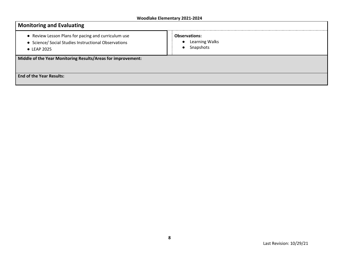| <b>Monitoring and Evaluating</b>                                                                                           |                                                     |  |  |  |  |  |  |  |  |
|----------------------------------------------------------------------------------------------------------------------------|-----------------------------------------------------|--|--|--|--|--|--|--|--|
| • Review Lesson Plans for pacing and curriculum use<br>• Science/ Social Studies Instructional Observations<br>• LEAP 2025 | <b>Observations:</b><br>Learning Walks<br>Snapshots |  |  |  |  |  |  |  |  |
| Middle of the Year Monitoring Results/Areas for improvement:                                                               |                                                     |  |  |  |  |  |  |  |  |
| <b>End of the Year Results:</b>                                                                                            |                                                     |  |  |  |  |  |  |  |  |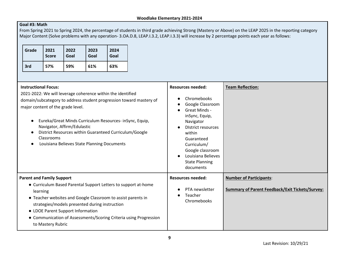## **Goal #3: Math**

From Spring 2021 to Spring 2024, the percentage of students in third grade achieving Strong (Mastery or Above) on the LEAP 2025 in the reporting category Major Content (Solve problems with any operation- 3.OA.D.8, LEAP.I.3.2, LEAP.I.3.3) will increase by 2 percentage points each year as follows:

| Grade | 2021<br><b>Score</b> | 2022<br>Goal | 2023<br>Goal | 2024<br>Goal |
|-------|----------------------|--------------|--------------|--------------|
| 3rd   | 57%                  | 59%          | 61%          | 63%          |

| <b>Instructional Focus:</b><br>2021-2022: We will leverage coherence within the identified<br>domain/subcategory to address student progression toward mastery of<br>major content of the grade level.<br>Eureka/Great Minds Curriculum Resources- in Sync, Equip,<br>Navigator, Affirm/Edulastic<br>District Resources within Guaranteed Curriculum/Google<br>Classrooms<br>Louisiana Believes State Planning Documents | <b>Resources needed:</b><br>Chromebooks<br>Google Classroom<br>Great Minds -<br>inSync, Equip,<br>Navigator<br><b>District resources</b><br>within<br>Guaranteed<br>Curriculum/<br>Google classroom<br>Louisiana Believes<br><b>State Planning</b><br>documents | <b>Team Reflection:</b>                                                                  |
|--------------------------------------------------------------------------------------------------------------------------------------------------------------------------------------------------------------------------------------------------------------------------------------------------------------------------------------------------------------------------------------------------------------------------|-----------------------------------------------------------------------------------------------------------------------------------------------------------------------------------------------------------------------------------------------------------------|------------------------------------------------------------------------------------------|
| <b>Parent and Family Support</b><br>• Curriculum Based Parental Support Letters to support at-home<br>learning<br>• Teacher websites and Google Classroom to assist parents in<br>strategies/models presented during instruction<br>• LDOE Parent Support Information<br>• Communication of Assessments/Scoring Criteria using Progression<br>to Mastery Rubric                                                          | <b>Resources needed:</b><br>PTA newsletter<br>Teacher<br>Chromebooks                                                                                                                                                                                            | <b>Number of Participants:</b><br><b>Summary of Parent Feedback/Exit Tickets/Survey:</b> |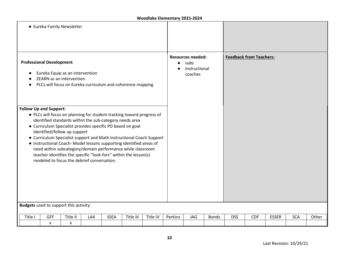|                                                                                                                                                                                                                                                                                                                                                                                                                                                                                                                                                                                               | • Eureka Family Newsletter                    |               |     |             |           |          |           |                                                              |              |            |                                |              |            |       |
|-----------------------------------------------------------------------------------------------------------------------------------------------------------------------------------------------------------------------------------------------------------------------------------------------------------------------------------------------------------------------------------------------------------------------------------------------------------------------------------------------------------------------------------------------------------------------------------------------|-----------------------------------------------|---------------|-----|-------------|-----------|----------|-----------|--------------------------------------------------------------|--------------|------------|--------------------------------|--------------|------------|-------|
| <b>Professional Development</b><br>Eureka Equip as an intervention<br>ZEARN as an intervention<br>PLCs will focus on Eureka curriculum and coherence mapping<br>$\bullet$                                                                                                                                                                                                                                                                                                                                                                                                                     |                                               |               |     |             |           |          | $\bullet$ | <b>Resources needed:</b><br>subs<br>instructional<br>coaches |              |            | <b>Feedback from Teachers:</b> |              |            |       |
| <b>Follow Up and Support:</b><br>• PLCs will focus on planning for student tracking toward progress of<br>identified standards within the sub-category needs area<br>• Curriculum Specialist provides specific PD based on goal<br>identified/follow up support<br>• Curriculum Specialist support and Math Instructional Coach Support<br>• Instructional Coach-Model lessons supporting identified areas of<br>need within subcategory/domain performance while classroom<br>teacher identifies the specific "look-fors" within the lesson(s)<br>modeled to focus the debrief conversation. |                                               |               |     |             |           |          |           |                                                              |              |            |                                |              |            |       |
|                                                                                                                                                                                                                                                                                                                                                                                                                                                                                                                                                                                               | <b>Budgets</b> used to support this activity: |               |     |             |           |          |           |                                                              |              |            |                                |              |            |       |
| Title I                                                                                                                                                                                                                                                                                                                                                                                                                                                                                                                                                                                       | GFF<br>X                                      | Title II<br>X | LA4 | <b>IDEA</b> | Title III | Title IV | Perkins   | JAG                                                          | <b>Bonds</b> | <b>DSS</b> | <b>CDF</b>                     | <b>ESSER</b> | <b>SCA</b> | Other |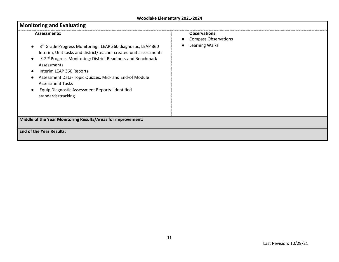| <b>Monitoring and Evaluating</b>                                                                                                                                                                                                                                                                                                                                                                                                             |                                                                       |
|----------------------------------------------------------------------------------------------------------------------------------------------------------------------------------------------------------------------------------------------------------------------------------------------------------------------------------------------------------------------------------------------------------------------------------------------|-----------------------------------------------------------------------|
| <b>Assessments:</b><br>3rd Grade Progress Monitoring: LEAP 360 diagnostic, LEAP 360<br>Interim, Unit tasks and district/teacher created unit assessments<br>K-2 <sup>nd</sup> Progress Monitoring: District Readiness and Benchmark<br>Assessments<br>Interim LEAP 360 Reports<br>Assessment Data- Topic Quizzes, Mid- and End-of Module<br><b>Assessment Tasks</b><br>Equip Diagnostic Assessment Reports- identified<br>standards/tracking | <b>Observations:</b><br><b>Compass Observations</b><br>Learning Walks |
| Middle of the Year Monitoring Results/Areas for improvement:                                                                                                                                                                                                                                                                                                                                                                                 |                                                                       |
| <b>End of the Year Results:</b>                                                                                                                                                                                                                                                                                                                                                                                                              |                                                                       |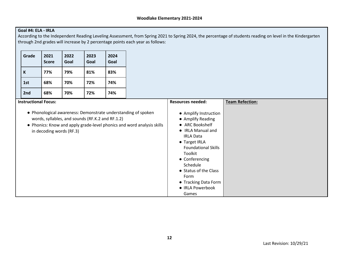## **Goal #4: ELA - IRLA**

According to the Independent Reading Leveling Assessment, from Spring 2021 to Spring 2024, the percentage of students reading on level in the Kindergarten through 2nd grades will increase by 2 percentage points each year as follows:

| Grade                       | 2021<br><b>Score</b>     | 2022<br>Goal | 2023<br>Goal                                                                                                                                                                                | 2024<br>Goal |                                                                                                                                                                                                                                                         |                        |
|-----------------------------|--------------------------|--------------|---------------------------------------------------------------------------------------------------------------------------------------------------------------------------------------------|--------------|---------------------------------------------------------------------------------------------------------------------------------------------------------------------------------------------------------------------------------------------------------|------------------------|
| K                           | 77%                      | 79%          | 81%                                                                                                                                                                                         | 83%          |                                                                                                                                                                                                                                                         |                        |
| 1st                         | 68%                      | 70%          | 72%                                                                                                                                                                                         | 74%          |                                                                                                                                                                                                                                                         |                        |
| 2nd                         | 68%                      | 70%          | 72%                                                                                                                                                                                         | 74%          |                                                                                                                                                                                                                                                         |                        |
| <b>Instructional Focus:</b> |                          |              |                                                                                                                                                                                             |              | <b>Resources needed:</b>                                                                                                                                                                                                                                | <b>Team Refection:</b> |
|                             | in decoding words (RF.3) |              | • Phonological awareness: Demonstrate understanding of spoken<br>words, syllables, and sounds (RF.K.2 and RF.1.2)<br>• Phonics: Know and apply grade-level phonics and word analysis skills |              | • Amplify Instruction<br>• Amplify Reading<br>• ARC Bookshelf<br>• IRLA Manual and<br><b>IRLA Data</b><br>• Target IRLA<br><b>Foundational Skills</b><br>Toolkit<br>• Conferencing<br>Schedule<br>• Status of the Class<br>Form<br>• Tracking Data Form |                        |

● IRLA Powerbook

Games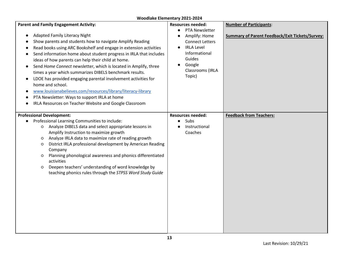| <b>Parent and Family Engagement Activity:</b><br><b>Adapted Family Literacy Night</b><br>Show parents and students how to navigate Amplify Reading<br>$\bullet$<br>Read books using ARC Bookshelf and engage in extension activities<br>$\bullet$<br>Send information home about student progress in IRLA that includes<br>ideas of how parents can help their child at home.<br>Send Home Connect newsletter, which is located in Amplify, three<br>$\bullet$<br>times a year which summarizes DIBELS benchmark results.<br>LDOE has provided engaging parental involvement activities for<br>$\bullet$<br>home and school.<br>www.louisianabelieves.com/resources/library/literacy-library<br>$\bullet$<br>PTA Newsletter: Ways to support IRLA at home<br>IRLA Resources on Teacher Website and Google Classroom | <b>Resources needed:</b><br>PTA Newsletter<br>$\bullet$<br>Amplify: Home<br><b>Connect Letters</b><br><b>IRLA Level</b><br>Informational<br>Guides<br>Google<br>Classrooms (IRLA<br>Topic) | <b>Number of Participants:</b><br><b>Summary of Parent Feedback/Exit Tickets/Survey:</b> |
|---------------------------------------------------------------------------------------------------------------------------------------------------------------------------------------------------------------------------------------------------------------------------------------------------------------------------------------------------------------------------------------------------------------------------------------------------------------------------------------------------------------------------------------------------------------------------------------------------------------------------------------------------------------------------------------------------------------------------------------------------------------------------------------------------------------------|--------------------------------------------------------------------------------------------------------------------------------------------------------------------------------------------|------------------------------------------------------------------------------------------|
| <b>Professional Development:</b><br>Professional Learning Communities to include:<br>O Analyze DIBELS data and select appropriate lessons in<br>Amplify Instruction to maximize growth<br>Analyze IRLA data to maximize rate of reading growth<br>$\circ$<br>District IRLA professional development by American Reading<br>$\circ$<br>Company<br>Planning phonological awareness and phonics differentiated<br>$\circ$<br>activities<br>Deepen teachers' understanding of word knowledge by<br>$\circ$<br>teaching phonics rules through the STPSS Word Study Guide                                                                                                                                                                                                                                                 | <b>Resources needed:</b><br>Subs<br>Instructional<br>Coaches                                                                                                                               | <b>Feedback from Teachers:</b>                                                           |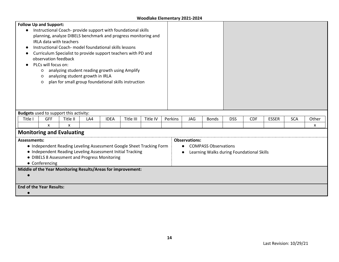|                     | <b>Follow Up and Support:</b>                                        |                                  |     |             |                                                      |          |         |                      |                                           |            |            |              |            |       |
|---------------------|----------------------------------------------------------------------|----------------------------------|-----|-------------|------------------------------------------------------|----------|---------|----------------------|-------------------------------------------|------------|------------|--------------|------------|-------|
|                     | Instructional Coach- provide support with foundational skills        |                                  |     |             |                                                      |          |         |                      |                                           |            |            |              |            |       |
|                     | planning, analyze DIBELS benchmark and progress monitoring and       |                                  |     |             |                                                      |          |         |                      |                                           |            |            |              |            |       |
|                     | IRLA data with teachers                                              |                                  |     |             |                                                      |          |         |                      |                                           |            |            |              |            |       |
|                     | Instructional Coach- model foundational skills lessons               |                                  |     |             |                                                      |          |         |                      |                                           |            |            |              |            |       |
|                     | Curriculum Specialist to provide support teachers with PD and        |                                  |     |             |                                                      |          |         |                      |                                           |            |            |              |            |       |
|                     | observation feedback                                                 |                                  |     |             |                                                      |          |         |                      |                                           |            |            |              |            |       |
|                     | PLCs will focus on:                                                  |                                  |     |             |                                                      |          |         |                      |                                           |            |            |              |            |       |
|                     | O                                                                    |                                  |     |             | analyzing student reading growth using Amplify       |          |         |                      |                                           |            |            |              |            |       |
|                     | $\circ$                                                              | analyzing student growth in IRLA |     |             |                                                      |          |         |                      |                                           |            |            |              |            |       |
|                     | $\circ$                                                              |                                  |     |             | plan for small group foundational skills instruction |          |         |                      |                                           |            |            |              |            |       |
|                     |                                                                      |                                  |     |             |                                                      |          |         |                      |                                           |            |            |              |            |       |
|                     |                                                                      |                                  |     |             |                                                      |          |         |                      |                                           |            |            |              |            |       |
|                     |                                                                      |                                  |     |             |                                                      |          |         |                      |                                           |            |            |              |            |       |
|                     |                                                                      |                                  |     |             |                                                      |          |         |                      |                                           |            |            |              |            |       |
|                     | <b>Budgets</b> used to support this activity:                        |                                  |     |             |                                                      |          |         |                      |                                           |            |            |              |            |       |
| Title I             | <b>GFF</b>                                                           | Title II                         | LA4 | <b>IDEA</b> | Title III                                            | Title IV | Perkins | JAG                  | <b>Bonds</b>                              | <b>DSS</b> | <b>CDF</b> | <b>ESSER</b> | <b>SCA</b> | Other |
|                     | X                                                                    | X                                |     |             |                                                      |          |         |                      |                                           |            |            |              |            | x     |
|                     | <b>Monitoring and Evaluating</b>                                     |                                  |     |             |                                                      |          |         |                      |                                           |            |            |              |            |       |
|                     |                                                                      |                                  |     |             |                                                      |          |         |                      |                                           |            |            |              |            |       |
| <b>Assessments:</b> |                                                                      |                                  |     |             |                                                      |          |         | <b>Observations:</b> |                                           |            |            |              |            |       |
|                     | • Independent Reading Leveling Assessment Google Sheet Tracking Form |                                  |     |             |                                                      |          |         |                      | <b>COMPASS Observations</b>               |            |            |              |            |       |
|                     | • Independent Reading Leveling Assessment Initial Tracking           |                                  |     |             |                                                      |          |         |                      | Learning Walks during Foundational Skills |            |            |              |            |       |
|                     | • DIBELS 8 Assessment and Progress Monitoring                        |                                  |     |             |                                                      |          |         |                      |                                           |            |            |              |            |       |
|                     | • Conferencing                                                       |                                  |     |             |                                                      |          |         |                      |                                           |            |            |              |            |       |
|                     | Middle of the Year Monitoring Results/Areas for improvement:         |                                  |     |             |                                                      |          |         |                      |                                           |            |            |              |            |       |
|                     |                                                                      |                                  |     |             |                                                      |          |         |                      |                                           |            |            |              |            |       |
|                     |                                                                      |                                  |     |             |                                                      |          |         |                      |                                           |            |            |              |            |       |
|                     | <b>End of the Year Results:</b>                                      |                                  |     |             |                                                      |          |         |                      |                                           |            |            |              |            |       |
|                     |                                                                      |                                  |     |             |                                                      |          |         |                      |                                           |            |            |              |            |       |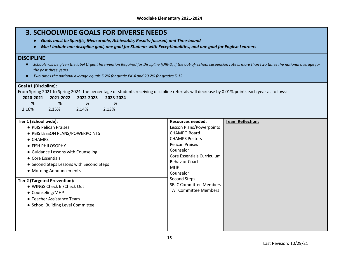## **3. SCHOOLWIDE GOALS FOR DIVERSE NEEDS**

- *Goals must be Specific, Measurable, Achievable, Results-focused, and Time-bound*
- *Must include one discipline goal, one goal for Students with Exceptionalities, and one goal for English Learners*

## **DISCIPLINE**

- *Schools will be given the label Urgent Intervention Required for Discipline (UIR-D) if the out-of- school suspension rate is more than two times the national average for the past three years*
- *Two times the national average equals 5.2% for grade PK-4 and 20.2% for grades 5-12*

| Goal #1 (Discipline):                |                                          |           |           |                                               |                                                                                                                                                |
|--------------------------------------|------------------------------------------|-----------|-----------|-----------------------------------------------|------------------------------------------------------------------------------------------------------------------------------------------------|
|                                      |                                          |           |           |                                               | From Spring 2021 to Spring 2024, the percentage of students receiving discipline referrals will decrease by 0.01% points each year as follows: |
| 2020-2021                            | 2021-2022                                | 2022-2023 | 2023-2024 |                                               |                                                                                                                                                |
| $\%$                                 | %                                        | $\%$      | %         |                                               |                                                                                                                                                |
| 2.16%                                | 2.15%                                    | 2.14%     | 2.13%     |                                               |                                                                                                                                                |
|                                      |                                          |           |           |                                               |                                                                                                                                                |
| Tier 1 (School wide):                |                                          |           |           | <b>Resources needed:</b>                      | <b>Team Reflection:</b>                                                                                                                        |
|                                      | • PBIS Pelican Praises                   |           |           | Lesson Plans/Powerpoints                      |                                                                                                                                                |
|                                      | • PBIS LESSON PLANS/POWERPOINTS          |           |           | <b>CHAMPO Board</b>                           |                                                                                                                                                |
| • CHAMPS                             |                                          |           |           | <b>CHAMPS Posters</b>                         |                                                                                                                                                |
|                                      | • FISH PHILOSOPHY                        |           |           | <b>Pelican Praises</b>                        |                                                                                                                                                |
|                                      | • Guidance Lessons with Counseling       |           |           | Counselor                                     |                                                                                                                                                |
| • Core Essentials                    |                                          |           |           | Core Essentials Curriculum                    |                                                                                                                                                |
|                                      | • Second Steps Lessons with Second Steps |           |           | <b>Behavior Coach</b>                         |                                                                                                                                                |
|                                      | • Morning Announcements                  |           |           | <b>MHP</b>                                    |                                                                                                                                                |
|                                      |                                          |           |           | Counselor                                     |                                                                                                                                                |
| <b>Tier 2 (Targeted Prevention):</b> |                                          |           |           | Second Steps<br><b>SBLC Committee Members</b> |                                                                                                                                                |
|                                      | • WINGS Check In/Check Out               |           |           | <b>TAT Committee Members</b>                  |                                                                                                                                                |
|                                      | • Counseling/MHP                         |           |           |                                               |                                                                                                                                                |
|                                      | • Teacher Assistance Team                |           |           |                                               |                                                                                                                                                |
|                                      | • School Building Level Committee        |           |           |                                               |                                                                                                                                                |
|                                      |                                          |           |           |                                               |                                                                                                                                                |
|                                      |                                          |           |           |                                               |                                                                                                                                                |
|                                      |                                          |           |           |                                               |                                                                                                                                                |
|                                      |                                          |           |           |                                               |                                                                                                                                                |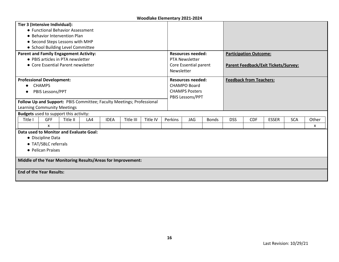| Tier 3 (Intensive Individual):                                        |          |     |             |           |          |            |                          |              |            |                                |                                      |            |       |  |
|-----------------------------------------------------------------------|----------|-----|-------------|-----------|----------|------------|--------------------------|--------------|------------|--------------------------------|--------------------------------------|------------|-------|--|
| • Functional Behavior Assessment                                      |          |     |             |           |          |            |                          |              |            |                                |                                      |            |       |  |
| • Behavior Intervention Plan                                          |          |     |             |           |          |            |                          |              |            |                                |                                      |            |       |  |
| • Second Steps Lessons with MHP                                       |          |     |             |           |          |            |                          |              |            |                                |                                      |            |       |  |
| • School Building Level Committee                                     |          |     |             |           |          |            |                          |              |            |                                |                                      |            |       |  |
| <b>Parent and Family Engagement Activity:</b>                         |          |     |             |           |          |            | Resources needed:        |              |            | <b>Participation Outcome:</b>  |                                      |            |       |  |
| • PBIS articles in PTA newsletter                                     |          |     |             |           |          |            | <b>PTA Newsletter</b>    |              |            |                                |                                      |            |       |  |
| • Core Essential Parent newsletter                                    |          |     |             |           |          |            | Core Essential parent    |              |            |                                | Parent Feedback/Exit Tickets/Survey: |            |       |  |
|                                                                       |          |     |             |           |          | Newsletter |                          |              |            |                                |                                      |            |       |  |
| <b>Professional Development:</b>                                      |          |     |             |           |          |            | <b>Resources needed:</b> |              |            | <b>Feedback from Teachers:</b> |                                      |            |       |  |
| <b>CHAMPS</b>                                                         |          |     |             |           |          |            | <b>CHAMPO Board</b>      |              |            |                                |                                      |            |       |  |
| PBIS Lessons/PPT                                                      |          |     |             |           |          |            | <b>CHAMPS Posters</b>    |              |            |                                |                                      |            |       |  |
|                                                                       |          |     |             |           |          |            | PBIS Lessons/PPT         |              |            |                                |                                      |            |       |  |
| Follow Up and Support: PBIS Committee; Faculty Meetings; Professional |          |     |             |           |          |            |                          |              |            |                                |                                      |            |       |  |
| <b>Learning Community Meetings</b>                                    |          |     |             |           |          |            |                          |              |            |                                |                                      |            |       |  |
| <b>Budgets</b> used to support this activity:                         |          |     |             |           |          |            |                          |              |            |                                |                                      |            |       |  |
| <b>GFF</b><br>Title I                                                 | Title II | LA4 | <b>IDEA</b> | Title III | Title IV | Perkins    | <b>JAG</b>               | <b>Bonds</b> | <b>DSS</b> | <b>CDF</b>                     | <b>ESSER</b>                         | <b>SCA</b> | Other |  |
| X                                                                     |          |     |             |           |          |            |                          |              |            |                                |                                      |            | x     |  |
| Data used to Monitor and Evaluate Goal:                               |          |     |             |           |          |            |                          |              |            |                                |                                      |            |       |  |
| • Discipline Data                                                     |          |     |             |           |          |            |                          |              |            |                                |                                      |            |       |  |
| • TAT/SBLC referrals                                                  |          |     |             |           |          |            |                          |              |            |                                |                                      |            |       |  |
| • Pelican Praises                                                     |          |     |             |           |          |            |                          |              |            |                                |                                      |            |       |  |
| Middle of the Year Monitoring Results/Areas for Improvement:          |          |     |             |           |          |            |                          |              |            |                                |                                      |            |       |  |
| <b>End of the Year Results:</b>                                       |          |     |             |           |          |            |                          |              |            |                                |                                      |            |       |  |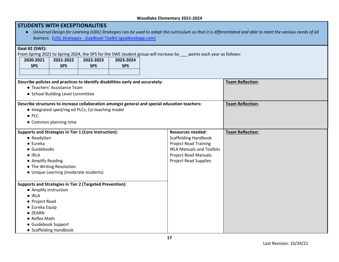| <b>STUDENTS WITH EXCEPTIONALITIES</b> |                                       | learners. (UDL Strategies - Goalbook Toolkit (goalbookapp.com)                 |            |                                                                                                                     | Universal Design for Learning (UDL) Strategies can be used to adapt the curriculum so that it is differentiated and able to meet the various needs of all |  |
|---------------------------------------|---------------------------------------|--------------------------------------------------------------------------------|------------|---------------------------------------------------------------------------------------------------------------------|-----------------------------------------------------------------------------------------------------------------------------------------------------------|--|
| Goal #2 (SWE):<br>2020-2021           | 2021-2022                             | 2022-2023                                                                      | 2023-2024  | From Spring 2021 to Spring 2024, the SPS for the SWE student group will increase by __ points each year as follows: |                                                                                                                                                           |  |
| <b>SPS</b>                            | <b>SPS</b>                            | <b>SPS</b>                                                                     | <b>SPS</b> |                                                                                                                     |                                                                                                                                                           |  |
|                                       |                                       |                                                                                |            |                                                                                                                     |                                                                                                                                                           |  |
|                                       |                                       | Describe policies and practices to identify disabilities early and accurately: |            |                                                                                                                     | <b>Team Reflection:</b>                                                                                                                                   |  |
|                                       | • Teachers' Assistance Team           |                                                                                |            |                                                                                                                     |                                                                                                                                                           |  |
|                                       | • School Building Level Committee     |                                                                                |            |                                                                                                                     |                                                                                                                                                           |  |
| $\bullet$ PLC                         | • Common planning time                | • Integrated sped/reg ed PLCs; Co-teaching model                               |            | Describe structures to increase collaboration amongst general and special education teachers:                       | <b>Team Reflection:</b>                                                                                                                                   |  |
|                                       |                                       | Supports and Strategies in Tier 1 (Core Instruction):                          |            | <b>Resources needed:</b>                                                                                            | <b>Team Reflection:</b>                                                                                                                                   |  |
| • ReadyGen                            |                                       |                                                                                |            | <b>Scaffolding Handbook</b>                                                                                         |                                                                                                                                                           |  |
| $\bullet$ Eureka                      |                                       |                                                                                |            | <b>Project Read Training</b>                                                                                        |                                                                                                                                                           |  |
| · Guidebooks<br>$\bullet$ IRLA        |                                       |                                                                                |            | <b>IRLA Manuals and Toolkits</b>                                                                                    |                                                                                                                                                           |  |
| • Amplify Reading                     |                                       |                                                                                |            | <b>Project Read Manuals</b><br><b>Project Read Supplies</b>                                                         |                                                                                                                                                           |  |
|                                       | • The Writing Revolution              |                                                                                |            |                                                                                                                     |                                                                                                                                                           |  |
|                                       | • Unique Learning (moderate students) |                                                                                |            |                                                                                                                     |                                                                                                                                                           |  |
|                                       |                                       | <b>Supports and Strategies in Tier 2 (Targeted Prevention):</b>                |            |                                                                                                                     |                                                                                                                                                           |  |
| • Amplify Instruction                 |                                       |                                                                                |            |                                                                                                                     |                                                                                                                                                           |  |
| $\bullet$ IRLA                        |                                       |                                                                                |            |                                                                                                                     |                                                                                                                                                           |  |
| • Project Read                        |                                       |                                                                                |            |                                                                                                                     |                                                                                                                                                           |  |
| • Eureka Equip<br>• ZEARN             |                                       |                                                                                |            |                                                                                                                     |                                                                                                                                                           |  |
| • Reflex Math                         |                                       |                                                                                |            |                                                                                                                     |                                                                                                                                                           |  |
| · Guidebook Support                   |                                       |                                                                                |            |                                                                                                                     |                                                                                                                                                           |  |
|                                       | • Scaffolding Handbook                |                                                                                |            |                                                                                                                     |                                                                                                                                                           |  |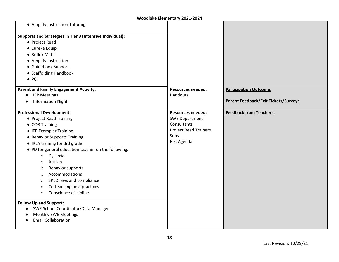| • Amplify Instruction Tutoring                            |                              |                                      |
|-----------------------------------------------------------|------------------------------|--------------------------------------|
| Supports and Strategies in Tier 3 (Intensive Individual): |                              |                                      |
| • Project Read                                            |                              |                                      |
| • Eureka Equip                                            |                              |                                      |
| • Reflex Math                                             |                              |                                      |
| • Amplify Instruction                                     |                              |                                      |
| · Guidebook Support                                       |                              |                                      |
| • Scaffolding Handbook                                    |                              |                                      |
| $\bullet$ PCI                                             |                              |                                      |
| <b>Parent and Family Engagement Activity:</b>             | <b>Resources needed:</b>     | <b>Participation Outcome:</b>        |
| <b>IEP Meetings</b><br>$\bullet$                          | <b>Handouts</b>              |                                      |
| <b>Information Night</b>                                  |                              | Parent Feedback/Exit Tickets/Survey: |
| <b>Professional Development:</b>                          | <b>Resources needed:</b>     | <b>Feedback from Teachers:</b>       |
| • Project Read Training                                   | <b>SWE Department</b>        |                                      |
| • ODR Training                                            | Consultants                  |                                      |
| • IEP Exemplar Training                                   | <b>Project Read Trainers</b> |                                      |
| • Behavior Supports Training                              | <b>Subs</b>                  |                                      |
| • IRLA training for 3rd grade                             | PLC Agenda                   |                                      |
| • PD for general education teacher on the following:      |                              |                                      |
| Dyslexia<br>$\circ$                                       |                              |                                      |
| Autism<br>$\circ$                                         |                              |                                      |
| <b>Behavior supports</b><br>O                             |                              |                                      |
| Accommodations<br>$\circ$                                 |                              |                                      |
| SPED laws and compliance<br>$\circ$                       |                              |                                      |
| Co-teaching best practices<br>$\circ$                     |                              |                                      |
| Conscience discipline<br>$\circ$                          |                              |                                      |
| <b>Follow Up and Support:</b>                             |                              |                                      |
| SWE School Coordinator/Data Manager                       |                              |                                      |
| <b>Monthly SWE Meetings</b>                               |                              |                                      |
| <b>Email Collaboration</b>                                |                              |                                      |
|                                                           |                              |                                      |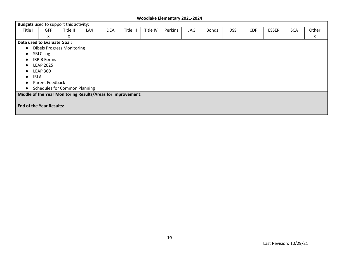|           | <b>Budgets</b> used to support this activity:                |          |     |             |           |          |         |     |              |            |            |              |            |       |
|-----------|--------------------------------------------------------------|----------|-----|-------------|-----------|----------|---------|-----|--------------|------------|------------|--------------|------------|-------|
| Title I   | <b>GFF</b>                                                   | Title II | LA4 | <b>IDEA</b> | Title III | Title IV | Perkins | JAG | <b>Bonds</b> | <b>DSS</b> | <b>CDF</b> | <b>ESSER</b> | <b>SCA</b> | Other |
|           | x                                                            | X        |     |             |           |          |         |     |              |            |            |              |            | x     |
|           | Data used to Evaluate Goal:                                  |          |     |             |           |          |         |     |              |            |            |              |            |       |
| $\bullet$ | <b>Dibels Progress Monitoring</b>                            |          |     |             |           |          |         |     |              |            |            |              |            |       |
|           | <b>SBLC Log</b>                                              |          |     |             |           |          |         |     |              |            |            |              |            |       |
|           | IRP-3 Forms                                                  |          |     |             |           |          |         |     |              |            |            |              |            |       |
| $\bullet$ | <b>LEAP 2025</b>                                             |          |     |             |           |          |         |     |              |            |            |              |            |       |
|           | <b>LEAP 360</b>                                              |          |     |             |           |          |         |     |              |            |            |              |            |       |
|           | <b>IRLA</b>                                                  |          |     |             |           |          |         |     |              |            |            |              |            |       |
|           | Parent Feedback                                              |          |     |             |           |          |         |     |              |            |            |              |            |       |
| $\bullet$ | <b>Schedules for Common Planning</b>                         |          |     |             |           |          |         |     |              |            |            |              |            |       |
|           | Middle of the Year Monitoring Results/Areas for Improvement: |          |     |             |           |          |         |     |              |            |            |              |            |       |
|           |                                                              |          |     |             |           |          |         |     |              |            |            |              |            |       |
|           | <b>End of the Year Results:</b>                              |          |     |             |           |          |         |     |              |            |            |              |            |       |
|           |                                                              |          |     |             |           |          |         |     |              |            |            |              |            |       |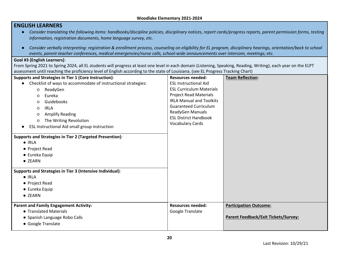|                                                                                                                                                                                                                                                                                                                                                                                                              | Woodlake Elementary 2021-2024                                                                                                                                                                                                                      |                                                                              |
|--------------------------------------------------------------------------------------------------------------------------------------------------------------------------------------------------------------------------------------------------------------------------------------------------------------------------------------------------------------------------------------------------------------|----------------------------------------------------------------------------------------------------------------------------------------------------------------------------------------------------------------------------------------------------|------------------------------------------------------------------------------|
| <b>ENGLISH LEARNERS</b>                                                                                                                                                                                                                                                                                                                                                                                      |                                                                                                                                                                                                                                                    |                                                                              |
| • Consider translating the following items: handbooks/discipline policies, disciplinary notices, report cards/progress reports, parent permission forms, testing                                                                                                                                                                                                                                             |                                                                                                                                                                                                                                                    |                                                                              |
| information, registration documents, home language survey, etc.                                                                                                                                                                                                                                                                                                                                              |                                                                                                                                                                                                                                                    |                                                                              |
| Consider verbally interpreting: registration & enrollment process, counseling on eligibility for EL program, disciplinary hearings, orientation/back to school                                                                                                                                                                                                                                               |                                                                                                                                                                                                                                                    |                                                                              |
| events, parent-teacher conferences, medical emergencies/nurse calls, school-wide announcements over intercom, meetings; etc.                                                                                                                                                                                                                                                                                 |                                                                                                                                                                                                                                                    |                                                                              |
| Goal #3 (English Learners):<br>From Spring 2021 to Spring 2024, all EL students will progress at least one level in each domain (Listening, Speaking, Reading, Writing), each year on the ELPT                                                                                                                                                                                                               |                                                                                                                                                                                                                                                    |                                                                              |
| assessment until reaching the proficiency level of English according to the state of Louisiana. (see EL Progress Tracking Chart)                                                                                                                                                                                                                                                                             |                                                                                                                                                                                                                                                    |                                                                              |
| Supports and Strategies in Tier 1 (Core Instruction):                                                                                                                                                                                                                                                                                                                                                        | <b>Resources needed:</b>                                                                                                                                                                                                                           | <b>Team Reflection:</b>                                                      |
| • Checklist of ways to accommodate of instructional strategies:<br>ReadyGen<br>$\circ$<br>Eureka<br>O<br>Guidebooks<br>O<br><b>IRLA</b><br>$\circ$<br><b>Amplify Reading</b><br>O<br>The Writing Revolution<br>$\circ$<br>ESL Instructional Aid small group instruction<br>Supports and Strategies in Tier 2 (Targeted Prevention):<br>$\bullet$ IRLA<br>• Project Read<br>$\bullet$ Eureka Equip<br>• ZEARN | <b>ESL Instructional Aid</b><br><b>ESL Curriculum Materials</b><br><b>Project Read Materials</b><br><b>IRLA Manual and Toolkits</b><br><b>Guaranteed Curriculum</b><br>ReadyGen Manuals<br><b>ESL District Handbook</b><br><b>Vocabulary Cards</b> |                                                                              |
| Supports and Strategies in Tier 3 (Intensive Individual):<br>$\bullet$ IRLA<br>• Project Read<br>$\bullet$ Eureka Equip<br>• ZEARN                                                                                                                                                                                                                                                                           |                                                                                                                                                                                                                                                    |                                                                              |
| <b>Parent and Family Engagement Activity:</b><br>• Translated Materials<br>• Spanish Language Robo Calls<br>• Google Translate                                                                                                                                                                                                                                                                               | <b>Resources needed:</b><br>Google Translate                                                                                                                                                                                                       | <b>Participation Outcome:</b><br><b>Parent Feedback/Exit Tickets/Survey:</b> |

**20**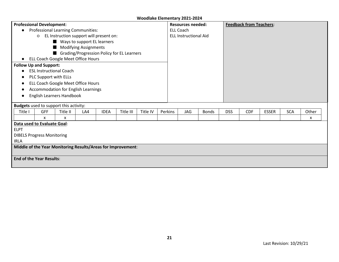|             | <b>Professional Development:</b>                             |                                           |     |             |           |          |         | <b>Resources needed:</b> |                              |              |            | <b>Feedback from Teachers:</b> |              |            |       |  |
|-------------|--------------------------------------------------------------|-------------------------------------------|-----|-------------|-----------|----------|---------|--------------------------|------------------------------|--------------|------------|--------------------------------|--------------|------------|-------|--|
|             |                                                              | <b>Professional Learning Communities:</b> |     |             |           |          |         | <b>ELL Coach</b>         |                              |              |            |                                |              |            |       |  |
|             | O                                                            | EL Instruction support will present on:   |     |             |           |          |         |                          | <b>ELL Instructional Aid</b> |              |            |                                |              |            |       |  |
|             |                                                              | Ways to support EL learners               |     |             |           |          |         |                          |                              |              |            |                                |              |            |       |  |
|             |                                                              | Modifying Assignments                     |     |             |           |          |         |                          |                              |              |            |                                |              |            |       |  |
|             | Grading/Progression Policy for EL Learners                   |                                           |     |             |           |          |         |                          |                              |              |            |                                |              |            |       |  |
|             | ELL Coach Google Meet Office Hours                           |                                           |     |             |           |          |         |                          |                              |              |            |                                |              |            |       |  |
|             | <b>Follow Up and Support:</b>                                |                                           |     |             |           |          |         |                          |                              |              |            |                                |              |            |       |  |
|             |                                                              | <b>ESL Instructional Coach</b>            |     |             |           |          |         |                          |                              |              |            |                                |              |            |       |  |
|             | PLC Support with ELLs                                        |                                           |     |             |           |          |         |                          |                              |              |            |                                |              |            |       |  |
|             | ELL Coach Google Meet Office Hours                           |                                           |     |             |           |          |         |                          |                              |              |            |                                |              |            |       |  |
|             |                                                              | Accommodation for English Learnings       |     |             |           |          |         |                          |                              |              |            |                                |              |            |       |  |
|             |                                                              | English Learners Handbook                 |     |             |           |          |         |                          |                              |              |            |                                |              |            |       |  |
|             |                                                              |                                           |     |             |           |          |         |                          |                              |              |            |                                |              |            |       |  |
|             | <b>Budgets</b> used to support this activity:                |                                           |     |             |           |          |         |                          |                              |              |            |                                |              |            |       |  |
| Title I     | <b>GFF</b>                                                   | Title II                                  | LA4 | <b>IDEA</b> | Title III | Title IV | Perkins |                          | JAG                          | <b>Bonds</b> | <b>DSS</b> | <b>CDF</b>                     | <b>ESSER</b> | <b>SCA</b> | Other |  |
|             | X                                                            | $\mathsf{x}$                              |     |             |           |          |         |                          |                              |              |            |                                |              |            | X     |  |
|             | Data used to Evaluate Goal:                                  |                                           |     |             |           |          |         |                          |                              |              |            |                                |              |            |       |  |
| <b>ELPT</b> |                                                              |                                           |     |             |           |          |         |                          |                              |              |            |                                |              |            |       |  |
|             | <b>DIBELS Progress Monitoring</b>                            |                                           |     |             |           |          |         |                          |                              |              |            |                                |              |            |       |  |
| <b>IRLA</b> |                                                              |                                           |     |             |           |          |         |                          |                              |              |            |                                |              |            |       |  |
|             | Middle of the Year Monitoring Results/Areas for Improvement: |                                           |     |             |           |          |         |                          |                              |              |            |                                |              |            |       |  |
|             | <b>End of the Year Results:</b>                              |                                           |     |             |           |          |         |                          |                              |              |            |                                |              |            |       |  |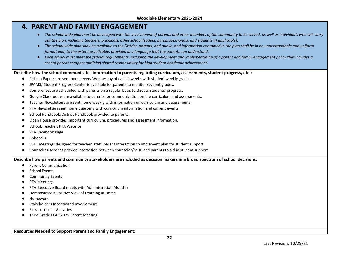## **4. PARENT AND FAMILY ENGAGEMENT**

- *The school-wide plan must be developed with the involvement of parents and other members of the community to be served, as well as individuals who will carry out the plan, including teachers, principals, other school leaders, paraprofessionals, and students (if applicable).*
- The school-wide plan shall be available to the District, parents, and public, and information contained in the plan shall be in an understandable and uniform *format and, to the extent practicable, provided in a language that the parents can understand.*
- *Each school must meet the federal requirements, including the development and implementation of a parent and family engagement policy that includes a school-parent compact outlining shared responsibility for high student academic achievement.*

#### **Describe how the school communicates information to parents regarding curriculum, assessments, student progress, etc.:**

- Pelican Papers are sent home every Wednesday of each 9 weeks with student weekly grades.
- JPAMS/ Student Progress Center is available for parents to monitor student grades.
- Conferences are scheduled with parents on a regular basis to discuss students' progress.
- Google Classrooms are available to parents for communication on the curriculum and assessments.
- Teacher Newsletters are sent home weekly with information on curriculum and assessments.
- PTA Newsletters sent home quarterly with curriculum information and current events.
- School Handbook/District Handbook provided to parents.
- Open House provides important curriculum, procedures and assessment information.
- School, Teacher, PTA Website
- PTA Facebook Page
- Robocalls
- SBLC meetings designed for teacher, staff, parent interaction to implement plan for student support
- Counseling services provide interaction between counselor/MHP and parents to aid in student support

**Describe how parents and community stakeholders are included as decision makers in a broad spectrum of school decisions:**

- Parent Communication
- **School Events**
- **Community Events**
- PTA Meetings
- PTA Executive Board meets with Administration Monthly
- Demonstrate a Positive View of Learning at Home
- Homework
- Stakeholders Incentivized Involvement
- **Extracurricular Activities**
- Third Grade LEAP 2025 Parent Meeting

**Resources Needed to Support Parent and Family Engagement:**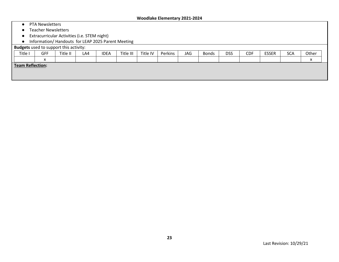- PTA Newsletters
- Teacher Newsletters
- Extracurricular Activities (i.e. STEM night)
- Information/ Handouts for LEAP 2025 Parent Meeting

#### **Budgets** used to support this activity:

| Title I                 | <b>GFF</b>             | Title II | LA4 | <b>IDEA</b> | Title III | Title IV | Perkins | JAG | <b>Bonds</b> | <b>DSS</b> | <b>CDF</b> | <b>ESSER</b> | <b>SCA</b> | Other |
|-------------------------|------------------------|----------|-----|-------------|-----------|----------|---------|-----|--------------|------------|------------|--------------|------------|-------|
|                         | $\mathbf{v}$<br>$\sim$ |          |     |             |           |          |         |     |              |            |            |              |            |       |
| <b>Team Reflection:</b> |                        |          |     |             |           |          |         |     |              |            |            |              |            |       |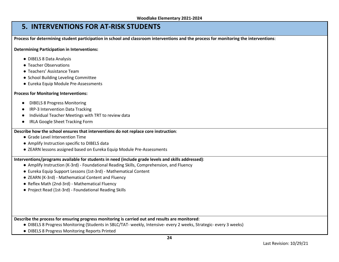## **5. INTERVENTIONS FOR AT-RISK STUDENTS**

**Process for determining student participation in school and classroom interventions and the process for monitoring the interventions**:

**Determining Participation in Interventions:**

- DIBELS 8 Data Analysis
- Teacher Observations
- Teachers' Assistance Team
- School Building Leveling Committee
- Eureka Equip Module Pre-Assessments

#### **Process for Monitoring Interventions:**

- **DIBELS 8 Progress Monitoring**
- **IRP-3 Intervention Data Tracking**
- Individual Teacher Meetings with TRT to review data
- IRLA Google Sheet Tracking Form

#### **Describe how the school ensures that interventions do not replace core instruction**:

- Grade Level Intervention Time
- Amplify Instruction specific to DIBELS data
- ZEARN lessons assigned based on Eureka Equip Module Pre-Assessments

## **Interventions/programs available for students in need (include grade levels and skills addressed)**:

- Amplify Instruction (K-3rd) Foundational Reading Skills, Comprehension, and Fluency
- Eureka Equip Support Lessons (1st-3rd) Mathematical Content
- ZEARN (K-3rd) Mathematical Content and Fluency
- Reflex Math (2nd-3rd) Mathematical Fluency
- Project Read (1st-3rd) Foundational Reading Skills

**Describe the process for ensuring progress monitoring is carried out and results are monitored**:

- DIBELS 8 Progress Monitoring (Students in SBLC/TAT- weekly, Intensive- every 2 weeks, Strategic- every 3 weeks)
- DIBELS 8 Progress Monitoring Reports Printed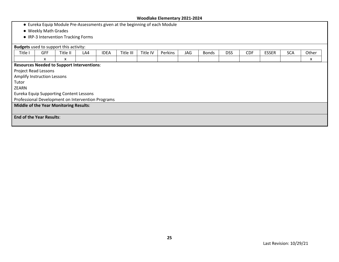- Eureka Equip Module Pre-Assessments given at the beginning of each Module
- Weekly Math Grades
- IRP-3 Intervention Tracking Forms

| <b>Budgets</b> used to support this activity:     |            |          |     |             |           |          |         |     |              |            |            |              |            |       |
|---------------------------------------------------|------------|----------|-----|-------------|-----------|----------|---------|-----|--------------|------------|------------|--------------|------------|-------|
| Title I                                           | <b>GFF</b> | Title II | LA4 | <b>IDEA</b> | Title III | Title IV | Perkins | JAG | <b>Bonds</b> | <b>DSS</b> | <b>CDF</b> | <b>ESSER</b> | <b>SCA</b> | Other |
|                                                   | X          | X        |     |             |           |          |         |     |              |            |            |              |            | x     |
| <b>Resources Needed to Support Interventions:</b> |            |          |     |             |           |          |         |     |              |            |            |              |            |       |
| <b>Project Read Lessons</b>                       |            |          |     |             |           |          |         |     |              |            |            |              |            |       |
| Amplify Instruction Lessons                       |            |          |     |             |           |          |         |     |              |            |            |              |            |       |
| Tutor                                             |            |          |     |             |           |          |         |     |              |            |            |              |            |       |
| <b>ZEARN</b>                                      |            |          |     |             |           |          |         |     |              |            |            |              |            |       |
| <b>Eureka Equip Supporting Content Lessons</b>    |            |          |     |             |           |          |         |     |              |            |            |              |            |       |
| Professional Development on Intervention Programs |            |          |     |             |           |          |         |     |              |            |            |              |            |       |
| <b>Middle of the Year Monitoring Results:</b>     |            |          |     |             |           |          |         |     |              |            |            |              |            |       |
|                                                   |            |          |     |             |           |          |         |     |              |            |            |              |            |       |
| <b>End of the Year Results:</b>                   |            |          |     |             |           |          |         |     |              |            |            |              |            |       |
|                                                   |            |          |     |             |           |          |         |     |              |            |            |              |            |       |
|                                                   |            |          |     |             |           |          |         |     |              |            |            |              |            |       |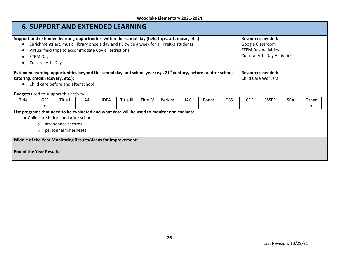|         | <b>6. SUPPORT AND EXTENDED LEARNING</b>                                                                                                                                                                                                                   |          |     |             |           |          |                                                                                                                                                                                             |            |              |            |                  |                                                                                               |            |       |
|---------|-----------------------------------------------------------------------------------------------------------------------------------------------------------------------------------------------------------------------------------------------------------|----------|-----|-------------|-----------|----------|---------------------------------------------------------------------------------------------------------------------------------------------------------------------------------------------|------------|--------------|------------|------------------|-----------------------------------------------------------------------------------------------|------------|-------|
|         | Virtual field trips to accommodate Covid restrictions<br><b>STEM Day</b><br><b>Cultural Arts Day</b>                                                                                                                                                      |          |     |             |           |          | Support and extended learning opportunities within the school day (field trips, art, music, etc.)<br>Enrichments art, music, library once a day and PE twice a week for all PreK-3 students |            |              |            | Google Classroom | <b>Resources needed:</b><br><b>STEM Day Activities</b><br><b>Cultural Arts Day Activities</b> |            |       |
|         | Extended learning opportunities beyond the school day and school year (e.g. $21^{st}$ century, before or after school<br><b>Resources needed:</b><br>tutoring, credit recovery, etc.):<br><b>Child Care Workers</b><br>Child care before and after school |          |     |             |           |          |                                                                                                                                                                                             |            |              |            |                  |                                                                                               |            |       |
|         | <b>Budgets</b> used to support this activity:                                                                                                                                                                                                             |          |     |             |           |          |                                                                                                                                                                                             |            |              |            |                  |                                                                                               |            |       |
| Title I | <b>GFF</b>                                                                                                                                                                                                                                                | Title II | LA4 | <b>IDEA</b> | Title III | Title IV | Perkins                                                                                                                                                                                     | <b>JAG</b> | <b>Bonds</b> | <b>DSS</b> | <b>CDF</b>       | <b>ESSER</b>                                                                                  | <b>SCA</b> | Other |
|         | X                                                                                                                                                                                                                                                         |          |     |             |           |          |                                                                                                                                                                                             |            |              |            |                  |                                                                                               |            | x     |
|         | List programs that need to be evaluated and what data will be used to monitor and evaluate:<br>• Child care before and after school<br>attendance records<br>$\circ$<br>personnel timesheets<br>$\circ$                                                   |          |     |             |           |          |                                                                                                                                                                                             |            |              |            |                  |                                                                                               |            |       |
|         | Middle of the Year Monitoring Results/Areas for Improvement:                                                                                                                                                                                              |          |     |             |           |          |                                                                                                                                                                                             |            |              |            |                  |                                                                                               |            |       |
|         | <b>End of the Year Results:</b>                                                                                                                                                                                                                           |          |     |             |           |          |                                                                                                                                                                                             |            |              |            |                  |                                                                                               |            |       |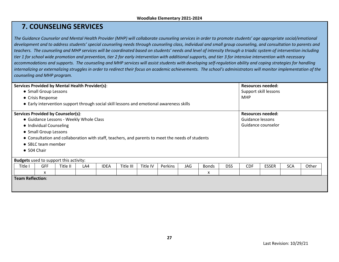## **7. COUNSELING SERVICES**

*The Guidance Counselor and Mental Health Provider (MHP) will collaborate counseling services in order to promote students' age appropriate social/emotional development and to address students' special counseling needs through counseling class, individual and small group counseling, and consultation to parents and teachers. The counseling and MHP services will be coordinated based on students' needs and level of intensity through a triadic system of intervention including tier 1 for school wide promotion and prevention, tier 2 for early intervention with additional supports, and tier 3 for intensive intervention with necessary accommodations and supports. The counseling and MHP services will assist students with developing self-regulation ability and coping strategies for handling internalizing or externalizing struggles in order to redirect their focus on academic achievements. The school's administrators will monitor implementation of the counseling and MHP program.* 

| <b>Services Provided by Mental Health Provider(s):</b>                                                                                  |                                                                                                  |  |  |  | <b>Resources needed:</b> |  |  |  |   |            |              |                    |                       |  |  |  |  |  |
|-----------------------------------------------------------------------------------------------------------------------------------------|--------------------------------------------------------------------------------------------------|--|--|--|--------------------------|--|--|--|---|------------|--------------|--------------------|-----------------------|--|--|--|--|--|
|                                                                                                                                         | • Small Group Lessons                                                                            |  |  |  |                          |  |  |  |   |            |              |                    | Support skill lessons |  |  |  |  |  |
|                                                                                                                                         | • Crisis Response                                                                                |  |  |  |                          |  |  |  |   |            |              |                    | <b>MHP</b>            |  |  |  |  |  |
|                                                                                                                                         | • Early intervention support through social skill lessons and emotional awareness skills         |  |  |  |                          |  |  |  |   |            |              |                    |                       |  |  |  |  |  |
|                                                                                                                                         | <b>Services Provided by Counselor(s):</b><br><b>Resources needed:</b>                            |  |  |  |                          |  |  |  |   |            |              |                    |                       |  |  |  |  |  |
|                                                                                                                                         | • Guidance Lessons - Weekly Whole Class                                                          |  |  |  |                          |  |  |  |   |            |              | Guidance lessons   |                       |  |  |  |  |  |
|                                                                                                                                         | • Individual Counseling                                                                          |  |  |  |                          |  |  |  |   |            |              | Guidance counselor |                       |  |  |  |  |  |
|                                                                                                                                         | • Small Group Lessons                                                                            |  |  |  |                          |  |  |  |   |            |              |                    |                       |  |  |  |  |  |
|                                                                                                                                         | • Consultation and collaboration with staff, teachers, and parents to meet the needs of students |  |  |  |                          |  |  |  |   |            |              |                    |                       |  |  |  |  |  |
|                                                                                                                                         | • SBLC team member                                                                               |  |  |  |                          |  |  |  |   |            |              |                    |                       |  |  |  |  |  |
| $\bullet$ 504 Chair                                                                                                                     |                                                                                                  |  |  |  |                          |  |  |  |   |            |              |                    |                       |  |  |  |  |  |
|                                                                                                                                         |                                                                                                  |  |  |  |                          |  |  |  |   |            |              |                    |                       |  |  |  |  |  |
| <b>Budgets</b> used to support this activity:                                                                                           |                                                                                                  |  |  |  |                          |  |  |  |   |            |              |                    |                       |  |  |  |  |  |
| <b>GFF</b><br>Perkins<br><b>JAG</b><br><b>DSS</b><br>Title I<br>Title II<br><b>IDEA</b><br>Title III<br>Title IV<br>LA4<br><b>Bonds</b> |                                                                                                  |  |  |  |                          |  |  |  |   | <b>CDF</b> | <b>ESSER</b> | <b>SCA</b>         | Other                 |  |  |  |  |  |
|                                                                                                                                         | X                                                                                                |  |  |  |                          |  |  |  | х |            |              |                    |                       |  |  |  |  |  |
| <b>Team Reflection:</b>                                                                                                                 |                                                                                                  |  |  |  |                          |  |  |  |   |            |              |                    |                       |  |  |  |  |  |
|                                                                                                                                         |                                                                                                  |  |  |  |                          |  |  |  |   |            |              |                    |                       |  |  |  |  |  |
|                                                                                                                                         |                                                                                                  |  |  |  |                          |  |  |  |   |            |              |                    |                       |  |  |  |  |  |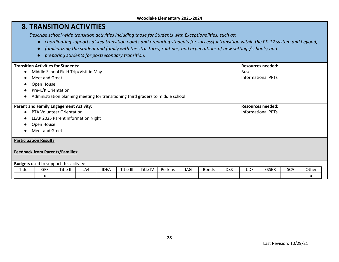## **8. TRANSITION ACTIVITIES**

*Describe school-wide transition activities including those for Students with Exceptionalities, such as:* 

- *coordinating supports at key transition points and preparing students for successful transition within the PK-12 system and beyond;*
- *familiarizing the student and family with the structures, routines, and expectations of new settings/schools; and*
- *preparing students for postsecondary transition*.

|                                                 | <b>Transition Activities for Students:</b>                                       |          |     | <b>Resources needed:</b> |           |          |         |            |              |            |                           |                           |            |       |  |  |
|-------------------------------------------------|----------------------------------------------------------------------------------|----------|-----|--------------------------|-----------|----------|---------|------------|--------------|------------|---------------------------|---------------------------|------------|-------|--|--|
| $\bullet$                                       | Middle School Field Trip/Visit in May                                            |          |     |                          |           |          |         |            |              |            | <b>Buses</b>              |                           |            |       |  |  |
| $\bullet$                                       | Meet and Greet                                                                   |          |     |                          |           |          |         |            |              |            | <b>Informational PPTs</b> |                           |            |       |  |  |
| $\bullet$                                       | Open House                                                                       |          |     |                          |           |          |         |            |              |            |                           |                           |            |       |  |  |
| $\bullet$                                       | Pre-K/K Orientation                                                              |          |     |                          |           |          |         |            |              |            |                           |                           |            |       |  |  |
| $\bullet$                                       | Administration planning meeting for transitioning third graders to middle school |          |     |                          |           |          |         |            |              |            |                           |                           |            |       |  |  |
|                                                 | <b>Parent and Family Engagement Activity:</b>                                    |          |     |                          |           |          |         |            |              |            | <b>Resources needed:</b>  |                           |            |       |  |  |
| $\bullet$                                       | <b>PTA Volunteer Orientation</b>                                                 |          |     |                          |           |          |         |            |              |            |                           | <b>Informational PPTs</b> |            |       |  |  |
| LEAP 2025 Parent Information Night<br>$\bullet$ |                                                                                  |          |     |                          |           |          |         |            |              |            |                           |                           |            |       |  |  |
| $\bullet$                                       | Open House                                                                       |          |     |                          |           |          |         |            |              |            |                           |                           |            |       |  |  |
| $\bullet$                                       | Meet and Greet                                                                   |          |     |                          |           |          |         |            |              |            |                           |                           |            |       |  |  |
|                                                 | <b>Participation Results:</b><br><b>Feedback from Parents/Families:</b>          |          |     |                          |           |          |         |            |              |            |                           |                           |            |       |  |  |
| <b>Budgets</b> used to support this activity:   |                                                                                  |          |     |                          |           |          |         |            |              |            |                           |                           |            |       |  |  |
| Title I                                         | <b>GFF</b>                                                                       | Title II | LA4 | <b>IDEA</b>              | Title III | Title IV | Perkins | <b>JAG</b> | <b>Bonds</b> | <b>DSS</b> | <b>CDF</b>                | <b>ESSER</b>              | <b>SCA</b> | Other |  |  |
|                                                 | x                                                                                |          |     |                          |           |          |         |            |              |            |                           |                           |            | х     |  |  |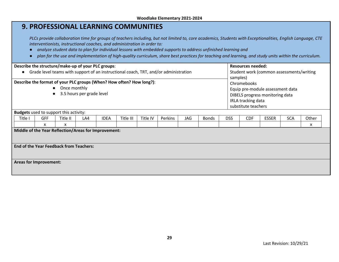|                                                    |                                                                                                                                                                                              |          |     |             | <b>9. PROFESSIONAL LEARNING COMMUNITIES</b>                              |          |                                                                                                                                                                                                                                                                         |     |              |                                                                                                                                             |                          |              |            |                                                                                                                                                             |  |
|----------------------------------------------------|----------------------------------------------------------------------------------------------------------------------------------------------------------------------------------------------|----------|-----|-------------|--------------------------------------------------------------------------|----------|-------------------------------------------------------------------------------------------------------------------------------------------------------------------------------------------------------------------------------------------------------------------------|-----|--------------|---------------------------------------------------------------------------------------------------------------------------------------------|--------------------------|--------------|------------|-------------------------------------------------------------------------------------------------------------------------------------------------------------|--|
|                                                    |                                                                                                                                                                                              |          |     |             | interventionists, instructional coaches, and administration in order to: |          | analyze student data to plan for individual lessons with embedded supports to address unfinished learning and<br>plan for the use and implementation of high-quality curriculum, share best practices for teaching and learning, and study units within the curriculum. |     |              |                                                                                                                                             |                          |              |            | PLCs provide collaboration time for groups of teachers including, but not limited to, core academics, Students with Exceptionalities, English Language, CTE |  |
| Describe the structure/make-up of your PLC groups: |                                                                                                                                                                                              |          |     |             |                                                                          |          |                                                                                                                                                                                                                                                                         |     |              |                                                                                                                                             | <b>Resources needed:</b> |              |            |                                                                                                                                                             |  |
|                                                    | Grade level teams with support of an instructional coach, TRT, and/or administration<br>Student work (common assessments/writing                                                             |          |     |             |                                                                          |          |                                                                                                                                                                                                                                                                         |     |              |                                                                                                                                             |                          |              |            |                                                                                                                                                             |  |
|                                                    | Describe the format of your PLC groups (When? How often? How long?):<br>Once monthly<br>$\bullet$<br>3.5 hours per grade level<br>$\bullet$<br><b>Budgets</b> used to support this activity: |          |     |             |                                                                          |          |                                                                                                                                                                                                                                                                         |     |              | samples)<br>Chromebooks<br>Equip pre-module assessment data<br>DIBELS progress monitoring data<br>IRLA tracking data<br>substitute teachers |                          |              |            |                                                                                                                                                             |  |
| Title I                                            | <b>GFF</b>                                                                                                                                                                                   | Title II | LA4 | <b>IDEA</b> | Title III                                                                | Title IV | Perkins                                                                                                                                                                                                                                                                 | JAG | <b>Bonds</b> | <b>DSS</b>                                                                                                                                  | <b>CDF</b>               | <b>ESSER</b> | <b>SCA</b> | Other                                                                                                                                                       |  |
|                                                    | x<br>x<br>x<br>Middle of the Year Reflection/Areas for Improvement:                                                                                                                          |          |     |             |                                                                          |          |                                                                                                                                                                                                                                                                         |     |              |                                                                                                                                             |                          |              |            |                                                                                                                                                             |  |
| <b>End of the Year Feedback from Teachers:</b>     |                                                                                                                                                                                              |          |     |             |                                                                          |          |                                                                                                                                                                                                                                                                         |     |              |                                                                                                                                             |                          |              |            |                                                                                                                                                             |  |
| <b>Areas for Improvement:</b>                      |                                                                                                                                                                                              |          |     |             |                                                                          |          |                                                                                                                                                                                                                                                                         |     |              |                                                                                                                                             |                          |              |            |                                                                                                                                                             |  |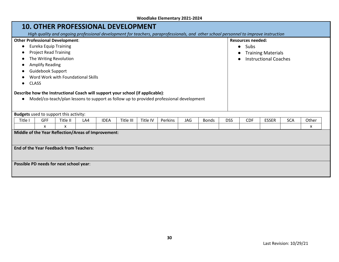## **10. OTHER PROFESSIONAL DEVELOPMENT**

*High quality and ongoing professional development for teachers, paraprofessionals, and other school personnel to improve instruction*

| riigii quunty unu ongonig projessionuruevelopment jor teueners, puruprojessionuis, unu "other senoorpersonner to improve mstruction |                                                                                                                                                                            |             |           |          |         |     |              |            |                          |                              |                                        |       |  |  |  |  |  |
|-------------------------------------------------------------------------------------------------------------------------------------|----------------------------------------------------------------------------------------------------------------------------------------------------------------------------|-------------|-----------|----------|---------|-----|--------------|------------|--------------------------|------------------------------|----------------------------------------|-------|--|--|--|--|--|
| <b>Other Professional Development:</b>                                                                                              |                                                                                                                                                                            |             |           |          |         |     |              |            | <b>Resources needed:</b> |                              |                                        |       |  |  |  |  |  |
| <b>Eureka Equip Training</b>                                                                                                        |                                                                                                                                                                            |             |           |          |         |     |              |            |                          | Subs<br>$\bullet$            |                                        |       |  |  |  |  |  |
| <b>Project Read Training</b>                                                                                                        |                                                                                                                                                                            |             |           |          |         |     |              |            |                          |                              | <b>Training Materials</b><br>$\bullet$ |       |  |  |  |  |  |
|                                                                                                                                     | The Writing Revolution                                                                                                                                                     |             |           |          |         |     |              |            |                          | <b>Instructional Coaches</b> |                                        |       |  |  |  |  |  |
| <b>Amplify Reading</b>                                                                                                              |                                                                                                                                                                            |             |           |          |         |     |              |            |                          |                              |                                        |       |  |  |  |  |  |
| <b>Guidebook Support</b>                                                                                                            |                                                                                                                                                                            |             |           |          |         |     |              |            |                          |                              |                                        |       |  |  |  |  |  |
| Word Work with Foundational Skills                                                                                                  |                                                                                                                                                                            |             |           |          |         |     |              |            |                          |                              |                                        |       |  |  |  |  |  |
| <b>CLASS</b>                                                                                                                        |                                                                                                                                                                            |             |           |          |         |     |              |            |                          |                              |                                        |       |  |  |  |  |  |
|                                                                                                                                     | Describe how the Instructional Coach will support your school (if applicable):<br>Model/co-teach/plan lessons to support as follow up to provided professional development |             |           |          |         |     |              |            |                          |                              |                                        |       |  |  |  |  |  |
| <b>Budgets</b> used to support this activity:                                                                                       |                                                                                                                                                                            |             |           |          |         |     |              |            |                          |                              |                                        |       |  |  |  |  |  |
| <b>GFF</b><br>Title I<br>Title II                                                                                                   | LA4                                                                                                                                                                        | <b>IDEA</b> | Title III | Title IV | Perkins | JAG | <b>Bonds</b> | <b>DSS</b> | <b>CDF</b>               | <b>ESSER</b>                 | <b>SCA</b>                             | Other |  |  |  |  |  |
| X<br>x                                                                                                                              |                                                                                                                                                                            |             |           |          |         |     |              |            |                          |                              |                                        | x     |  |  |  |  |  |
| Middle of the Year Reflection/Areas of Improvement:                                                                                 |                                                                                                                                                                            |             |           |          |         |     |              |            |                          |                              |                                        |       |  |  |  |  |  |
| <b>End of the Year Feedback from Teachers:</b>                                                                                      |                                                                                                                                                                            |             |           |          |         |     |              |            |                          |                              |                                        |       |  |  |  |  |  |

**Possible PD needs for next school year**: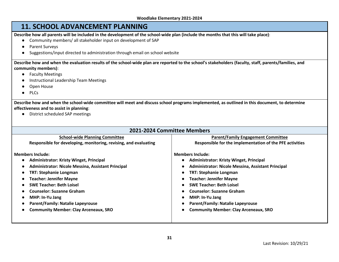## **11. SCHOOL ADVANCEMENT PLANNING**

**Describe how all parents will be included in the development of the school-wide plan (include the months that this will take place)**:

- Community members/ all stakeholder input on development of SAP
- Parent Surveys
- Suggestions/input directed to administration through email on school website

**Describe how and when the evaluation results of the school-wide plan are reported to the school's stakeholders (faculty, staff, parents/families, and community members)**:

- Faculty Meetings
- Instructional Leadership Team Meetings
- Open House
- PLCs

**Describe how and when the school-wide committee will meet and discuss school programs implemented, as outlined in this document, to determine effectiveness and to assist in planning**:

● District scheduled SAP meetings

| 2021-2024 Committee Members                                      |                                                          |
|------------------------------------------------------------------|----------------------------------------------------------|
| <b>School-wide Planning Committee</b>                            | <b>Parent/Family Engagement Committee</b>                |
| Responsible for developing, monitoring, revising, and evaluating | Responsible for the implementation of the PFE activities |
| <b>Members Include:</b>                                          | <b>Members Include:</b>                                  |
| <b>Administrator: Kristy Winget, Principal</b>                   | <b>Administrator: Kristy Winget, Principal</b>           |
| Administrator: Nicole Messina, Assistant Principal               | Administrator: Nicole Messina, Assistant Principal       |
| <b>TRT: Stephanie Longman</b>                                    | <b>TRT: Stephanie Longman</b>                            |
| <b>Teacher: Jennifer Mayne</b>                                   | <b>Teacher: Jennifer Mayne</b>                           |
| <b>SWE Teacher: Beth Loisel</b>                                  | <b>SWE Teacher: Beth Loisel</b>                          |
| <b>Counselor: Suzanne Graham</b>                                 | <b>Counselor: Suzanne Graham</b>                         |
| MHP: In-Yu Jang                                                  | MHP: In-Yu Jang                                          |
| <b>Parent/Family: Natalie Lapeyrouse</b>                         | <b>Parent/Family: Natalie Lapeyrouse</b>                 |
| <b>Community Member: Clay Arceneaux, SRO</b>                     | <b>Community Member: Clay Arceneaux, SRO</b>             |